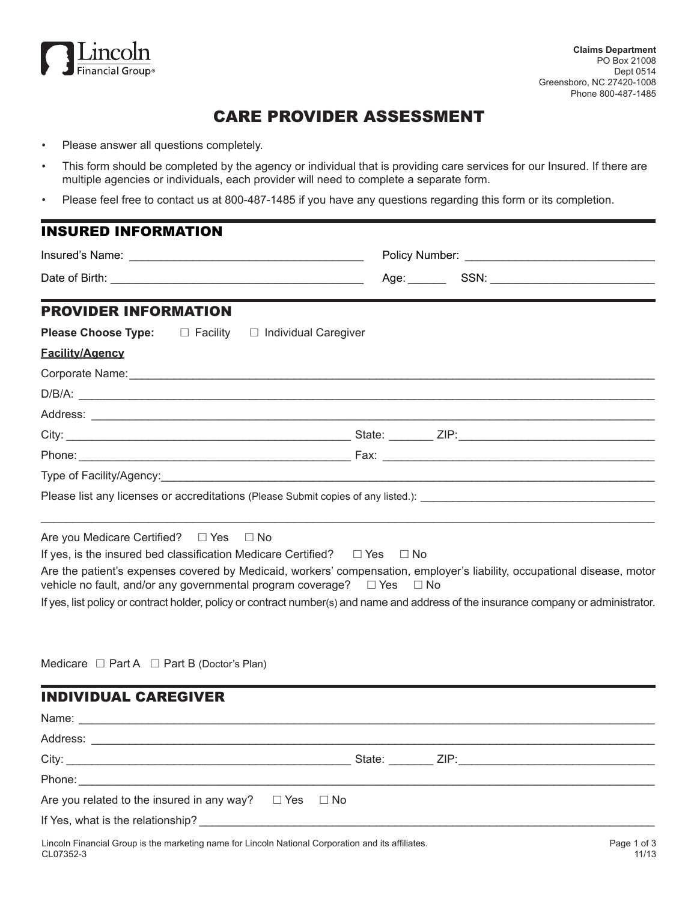

# CARE PROVIDER ASSESSMENT

- Please answer all questions completely.
- This form should be completed by the agency or individual that is providing care services for our Insured. If there are multiple agencies or individuals, each provider will need to complete a separate form.
- Please feel free to contact us at 800-487-1485 if you have any questions regarding this form or its completion.

| <b>INSURED INFORMATION</b>                                                                                                                                                                                         |  |  |  |
|--------------------------------------------------------------------------------------------------------------------------------------------------------------------------------------------------------------------|--|--|--|
|                                                                                                                                                                                                                    |  |  |  |
|                                                                                                                                                                                                                    |  |  |  |
| <b>PROVIDER INFORMATION</b>                                                                                                                                                                                        |  |  |  |
| <b>Please Choose Type:</b> $\Box$ Facility $\Box$ Individual Caregiver                                                                                                                                             |  |  |  |
| <b>Facility/Agency</b>                                                                                                                                                                                             |  |  |  |
| Corporate Name: Manual Manual Manual Manual Manual Manual Manual Manual Manual Manual Manual Manual Manual                                                                                                         |  |  |  |
|                                                                                                                                                                                                                    |  |  |  |
|                                                                                                                                                                                                                    |  |  |  |
|                                                                                                                                                                                                                    |  |  |  |
|                                                                                                                                                                                                                    |  |  |  |
|                                                                                                                                                                                                                    |  |  |  |
|                                                                                                                                                                                                                    |  |  |  |
| Are you Medicare Certified? □ Yes □ No                                                                                                                                                                             |  |  |  |
| If yes, is the insured bed classification Medicare Certified? $\square$ Yes $\square$ No                                                                                                                           |  |  |  |
| Are the patient's expenses covered by Medicaid, workers' compensation, employer's liability, occupational disease, motor<br>vehicle no fault, and/or any governmental program coverage? $\square$ Yes $\square$ No |  |  |  |
| If yes, list policy or contract holder, policy or contract number(s) and name and address of the insurance company or administrator.                                                                               |  |  |  |
|                                                                                                                                                                                                                    |  |  |  |
| Medicare $\Box$ Part A $\Box$ Part B (Doctor's Plan)                                                                                                                                                               |  |  |  |

INDIVIDUAL CAREGIVER Name: \_\_\_\_\_\_\_\_\_\_\_\_\_\_\_\_\_\_\_\_\_\_\_\_\_\_\_\_\_\_\_\_\_\_\_\_\_\_\_\_\_\_\_\_\_\_\_\_\_\_\_\_\_\_\_\_\_\_\_\_\_\_\_\_\_\_\_\_\_\_\_\_\_\_\_\_\_\_\_\_\_\_\_\_\_\_\_\_\_\_\_ Address: \_\_\_\_\_\_\_\_\_\_\_\_\_\_\_\_\_\_\_\_\_\_\_\_\_\_\_\_\_\_\_\_\_\_\_\_\_\_\_\_\_\_\_\_\_\_\_\_\_\_\_\_\_\_\_\_\_\_\_\_\_\_\_\_\_\_\_\_\_\_\_\_\_\_\_\_\_\_\_\_\_\_\_\_\_\_\_\_\_ City: \_\_\_\_\_\_\_\_\_\_\_\_\_\_\_\_\_\_\_\_\_\_\_\_\_\_\_\_\_\_\_\_\_\_\_\_\_\_\_\_\_\_\_\_\_ State: \_\_\_\_\_\_\_ ZIP:\_\_\_\_\_\_\_\_\_\_\_\_\_\_\_\_\_\_\_\_\_\_\_\_\_\_\_\_\_\_\_ Phone: Are you related to the insured in any way?  $\Box$  Yes  $\Box$  No If Yes, what is the relationship?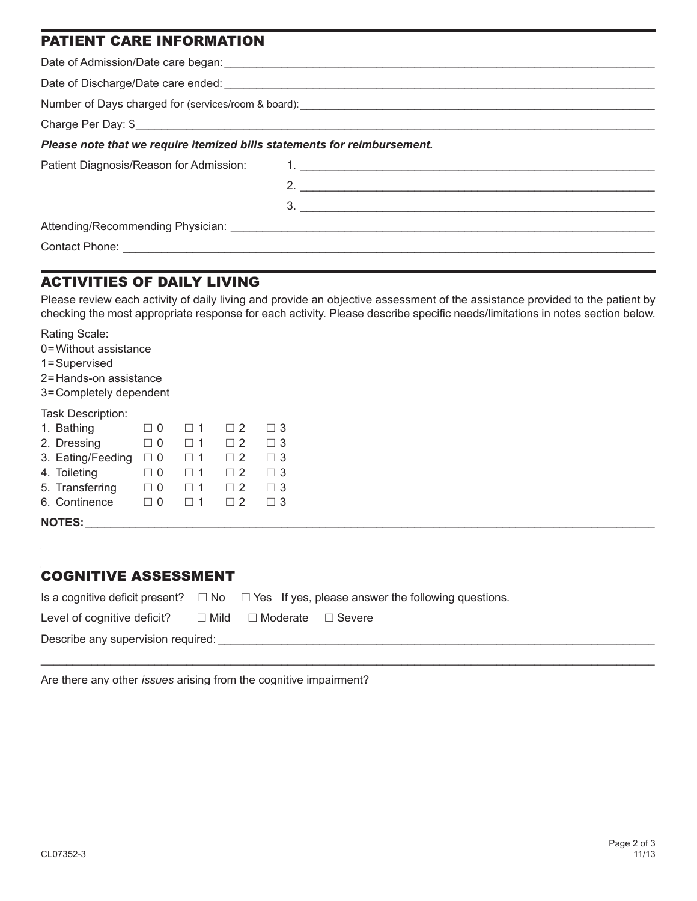| <b>PATIENT CARE INFORMATION</b>                                          |                             |  |  |
|--------------------------------------------------------------------------|-----------------------------|--|--|
|                                                                          |                             |  |  |
|                                                                          |                             |  |  |
|                                                                          |                             |  |  |
| Charge Per Day: \$                                                       |                             |  |  |
| Please note that we require itemized bills statements for reimbursement. |                             |  |  |
| Patient Diagnosis/Reason for Admission:                                  |                             |  |  |
|                                                                          | 2. $\overline{\phantom{a}}$ |  |  |
|                                                                          | $\overline{\mathbf{3}}$ .   |  |  |
|                                                                          |                             |  |  |
|                                                                          |                             |  |  |
|                                                                          |                             |  |  |

## ACTIVITIES OF DAILY LIVING

Please review each activity of daily living and provide an objective assessment of the assistance provided to the patient by checking the most appropriate response for each activity. Please describe specific needs/limitations in notes section below.

Rating Scale:

0=Without assistance

1=Supervised

2=Hands-on assistance

3=Completely dependent

#### Task Description:

| 1. Bathing        | ີ ()     |                | $\sqcap$ 2 |          |
|-------------------|----------|----------------|------------|----------|
| 2. Dressing       | - ( )    | $\Box$ 1       | $\Box$ 2   | $\Box$ 3 |
| 3. Eating/Feeding | $\Box$ 0 | $\perp$ 1      | $\Box$ 2   |          |
| 4. Toileting      | - 0      | $\overline{1}$ | $\sqcap$ 2 |          |
| 5. Transferring   |          | 11             | $\sqcap$ 2 | $\Box$ 3 |
| 6. Continence     |          |                | □ 2        |          |
|                   |          |                |            |          |

 $\texttt{NOTES:}\quad$ 

#### COGNITIVE ASSESSMENT

|                                    |  |                                           | Is a cognitive deficit present? $\square$ No $\square$ Yes If yes, please answer the following questions. |  |
|------------------------------------|--|-------------------------------------------|-----------------------------------------------------------------------------------------------------------|--|
| Level of cognitive deficit?        |  | $\Box$ Mild $\Box$ Moderate $\Box$ Severe |                                                                                                           |  |
| Describe any supervision required: |  |                                           |                                                                                                           |  |

\_\_\_\_\_\_\_\_\_\_\_\_\_\_\_\_\_\_\_\_\_\_\_\_\_\_\_\_\_\_\_\_\_\_\_\_\_\_\_\_\_\_\_\_\_\_\_\_\_\_\_\_\_\_\_\_\_\_\_\_\_\_\_\_\_\_\_\_\_\_\_\_\_\_\_\_\_\_\_\_\_\_\_\_\_\_\_\_\_\_\_\_\_\_\_\_\_

Are there any other *issues* arising from the cognitive impairment?